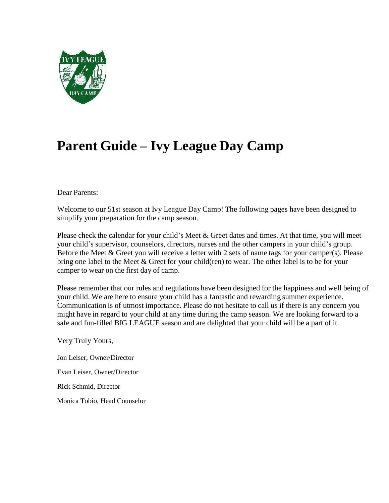

# **Parent Guide – Ivy League Day Camp**

#### Dear Parents:

Welcome to our 51st season at Ivy League Day Camp! The following pages have been designed to simplify your preparation for the camp season.

Please check the calendar for your child's Meet & Greet dates and times. At that time, you will meet your child's supervisor, counselors, directors, nurses and the other campers in your child's group. Before the Meet & Greet you will receive a letter with 2 sets of name tags for your camper(s). Please bring one label to the Meet & Greet for your child(ren) to wear. The other label is to be for your camper to wear on the first day of camp.

Please remember that our rules and regulations have been designed for the happiness and well being of your child. We are here to ensure your child has a fantastic and rewarding summer experience. Communication is of utmost importance. Please do not hesitate to call us if there is any concern you might have in regard to your child at any time during the camp season. We are looking forward to a safe and fun-filled BIG LEAGUE season and are delighted that your child will be a part of it.

Very Truly Yours,

Jon Leiser, Owner/Director

Evan Leiser, Owner/Director

Rick Schmid, Director

Monica Tobio, Head Counselor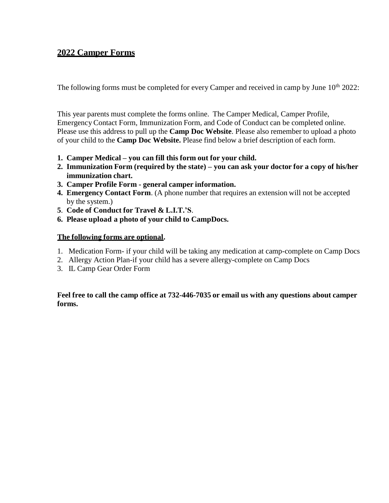### **2022 Camper Forms**

The following forms must be completed for every Camper and received in camp by June  $10^{th}$  2022:

This year parents must complete the forms online. The Camper Medical, Camper Profile, Emergency Contact Form, Immunization Form, and Code of Conduct can be completed online. Please use this address to pull up the **Camp Doc Website**. Please also remember to upload a photo of your child to the **Camp Doc Website.** Please find below a brief description of each form.

- **1. Camper Medical – you can fill this form out for your child.**
- **2. Immunization Form (required by the state) – you can ask your doctor for a copy of his/her immunization chart.**
- **3. Camper Profile Form - general camper information.**
- **4. Emergency Contact Form**. (A phone number that requires an extension will not be accepted by the system.)
- **5**. **Code of Conduct for Travel & L.I.T.'S**.
- **6. Please upload a photo of your child to CampDocs.**

#### **The following forms are optional.**

- 1. Medication Form- if your child will be taking any medication at camp-complete on Camp Docs
- 2. Allergy Action Plan-if your child has a severe allergy-complete on Camp Docs
- 3. IL Camp Gear Order Form

#### **Feel free to call the camp office at 732-446-7035 or email us with any questions about camper forms.**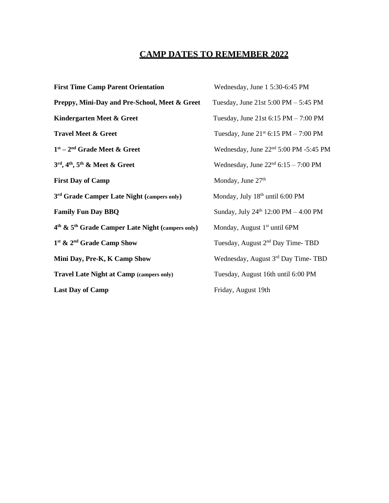# **CAMP DATES TO REMEMBER 2022**

| <b>First Time Camp Parent Orientation</b>                | Wednesday, June 1 5:30-6:45 PM                         |
|----------------------------------------------------------|--------------------------------------------------------|
| Preppy, Mini-Day and Pre-School, Meet & Greet            | Tuesday, June 21st $5:00 \text{ PM} - 5:45 \text{ PM}$ |
| Kindergarten Meet & Greet                                | Tuesday, June 21st $6:15$ PM $- 7:00$ PM               |
| <b>Travel Meet &amp; Greet</b>                           | Tuesday, June $21^{st}$ 6:15 PM – 7:00 PM              |
| $1st - 2nd$ Grade Meet & Greet                           | Wednesday, June 22 <sup>nd</sup> 5:00 PM -5:45 PM      |
| $3rd$ , 4 <sup>th</sup> , 5 <sup>th</sup> & Meet & Greet | Wednesday, June $22nd 6:15 - 7:00 PM$                  |
| <b>First Day of Camp</b>                                 | Monday, June 27th                                      |
| 3 <sup>rd</sup> Grade Camper Late Night (campers only)   | Monday, July 18 <sup>th</sup> until 6:00 PM            |
| <b>Family Fun Day BBQ</b>                                | Sunday, July 24th 12:00 PM - 4:00 PM                   |
| $4th$ & $5th$ Grade Camper Late Night (campers only)     | Monday, August 1 <sup>st</sup> until 6PM               |
| 1 <sup>st</sup> & 2 <sup>nd</sup> Grade Camp Show        | Tuesday, August 2 <sup>nd</sup> Day Time-TBD           |
| Mini Day, Pre-K, K Camp Show                             | Wednesday, August 3rd Day Time-TBD                     |
| <b>Travel Late Night at Camp (campers only)</b>          | Tuesday, August 16th until 6:00 PM                     |
| <b>Last Day of Camp</b>                                  | Friday, August 19th                                    |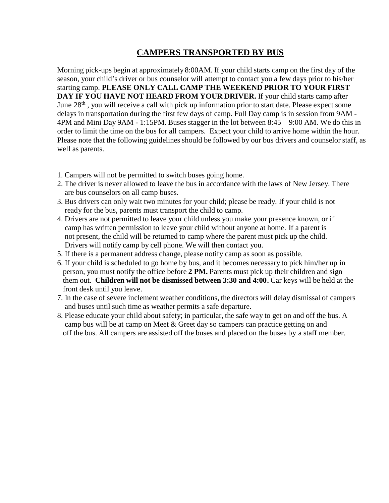## **CAMPERS TRANSPORTED BY BUS**

Morning pick-ups begin at approximately 8:00AM. If your child starts camp on the first day of the season, your child's driver or bus counselor will attempt to contact you a few days prior to his/her starting camp. **PLEASE ONLY CALL CAMP THE WEEKEND PRIOR TO YOUR FIRST DAY IF YOU HAVE NOT HEARD FROM YOUR DRIVER.** If your child starts camp after June  $28<sup>th</sup>$ , you will receive a call with pick up information prior to start date. Please expect some delays in transportation during the first few days of camp. Full Day camp is in session from 9AM - 4PM and Mini Day 9AM - 1:15PM. Buses stagger in the lot between 8:45 – 9:00 AM. We do this in order to limit the time on the bus for all campers. Expect your child to arrive home within the hour. Please note that the following guidelines should be followed by our bus drivers and counselor staff, as well as parents.

- 1. Campers will not be permitted to switch buses going home.
- 2. The driver is never allowed to leave the bus in accordance with the laws of New Jersey. There are bus counselors on all camp buses.
- 3. Bus drivers can only wait two minutes for your child; please be ready. If your child is not ready for the bus, parents must transport the child to camp.
- 4. Drivers are not permitted to leave your child unless you make your presence known, or if camp has written permission to leave your child without anyone at home. If a parent is not present, the child will be returned to camp where the parent must pick up the child. Drivers will notify camp by cell phone. We will then contact you.
- 5. If there is a permanent address change, please notify camp as soon as possible.
- 6. If your child is scheduled to go home by bus, and it becomes necessary to pick him/her up in person, you must notify the office before **2 PM.** Parents must pick up their children and sign them out. **Children will not be dismissed between 3:30 and 4:00.** Car keys will be held at the front desk until you leave.
- 7. In the case of severe inclement weather conditions, the directors will delay dismissal of campers and buses until such time as weather permits a safe departure.
- 8. Please educate your child about safety; in particular, the safe way to get on and off the bus. A camp bus will be at camp on Meet & Greet day so campers can practice getting on and off the bus. All campers are assisted off the buses and placed on the buses by a staff member.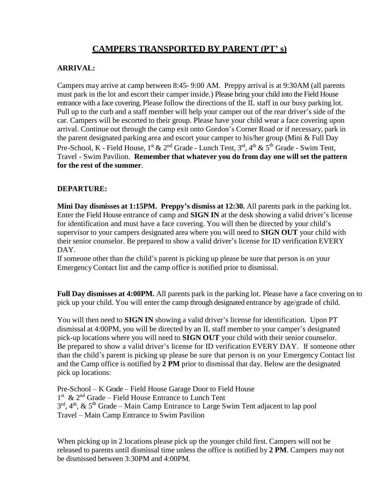# **CAMPERS TRANSPORTED BY PARENT (PT' s)**

### **ARRIVAL:**

Campers may arrive at camp between 8:45- 9:00 AM. Preppy arrival is at 9:30AM (all parents must park in the lot and escort their camper inside.) Please bring your child into the Field House entrance with a face covering. Please follow the directions of the IL staff in our busy parking lot. Pull up to the curb and a staff member will help your camper out of the rear driver's side of the car. Campers will be escorted to their group. Please have your child wear a face covering upon arrival. Continue out through the camp exit onto Gordon's Corner Road or if necessary, park in the parent designated parking area and escort your camper to his/her group (Mini & Full Day Pre-School, K - Field House, 1<sup>st</sup> & 2<sup>nd</sup> Grade - Lunch Tent, 3<sup>rd</sup>, 4<sup>th</sup> & 5<sup>th</sup> Grade - Swim Tent, Travel - Swim Pavilion. **Remember that whatever you do from day one will set the pattern for the rest of the summer**.

### **DEPARTURE:**

**Mini Day dismisses at 1:15PM. Preppy's dismiss at 12:30.** All parents park in the parking lot. Enter the Field House entrance of camp and **SIGN IN** at the desk showing a valid driver's license for identification and must have a face covering. You will then be directed by your child's supervisor to your campers designated area where you will need to **SIGN OUT** your child with their senior counselor. Be prepared to show a valid driver's license for ID verification EVERY DAY.

If someone other than the child's parent is picking up please be sure that person is on your EmergencyContact list and the camp office is notified prior to dismissal.

**Full Day dismisses at 4:00PM.** All parents park in the parking lot. Please have a face covering on to pick up your child. You will enter the camp through designated entrance by age/grade of child.

You will then need to **SIGN IN** showing a valid driver's license for identification. Upon PT dismissal at 4:00PM, you will be directed by an IL staff member to your camper's designated pick-up locations where you will need to **SIGN OUT** your child with their senior counselor. Be prepared to show a valid driver's license for ID verification EVERY DAY. If someone other than the child's parent is picking up please be sure that person is on your Emergency Contact list and the Camp office is notified by **2 PM** prior to dismissal that day. Below are the designated pick up locations:

Pre-School – K Grade – Field House Garage Door to Field House 1<sup>st</sup> & 2<sup>nd</sup> Grade – Field House Entrance to Lunch Tent  $3^{rd}$ ,  $4^{th}$ , &  $5^{th}$  Grade – Main Camp Entrance to Large Swim Tent adjacent to lap pool Travel – Main Camp Entrance to Swim Pavilion

When picking up in 2 locations please pick up the younger child first. Campers will not be released to parents until dismissal time unless the office is notified by **2 PM**. Campers may not be dismissed between 3:30PM and 4:00PM.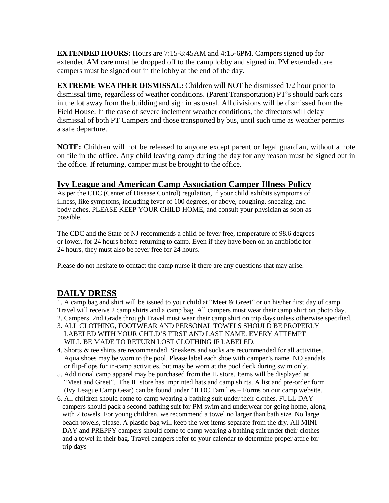**EXTENDED HOURS:** Hours are 7:15-8:45AM and 4:15-6PM. Campers signed up for extended AM care must be dropped off to the camp lobby and signed in. PM extended care campers must be signed out in the lobby at the end of the day.

**EXTREME WEATHER DISMISSAL:** Children will NOT be dismissed 1/2 hour prior to dismissal time, regardless of weather conditions. (Parent Transportation) PT's should park cars in the lot away from the building and sign in as usual. All divisions will be dismissed from the Field House. In the case of severe inclement weather conditions, the directors will delay dismissal of both PT Campers and those transported by bus, until such time as weather permits a safe departure.

**NOTE:** Children will not be released to anyone except parent or legal guardian, without a note on file in the office. Any child leaving camp during the day for any reason must be signed out in the office. If returning, camper must be brought to the office.

### **Ivy League and American Camp Association Camper Illness Policy**

As per the CDC (Center of Disease Control) regulation, if your child exhibits symptoms of illness, like symptoms, including fever of 100 degrees, or above, coughing, sneezing, and body aches, PLEASE KEEP YOUR CHILD HOME, and consult your physician as soon as possible.

The CDC and the State of NJ recommends a child be fever free, temperature of 98.6 degrees or lower, for 24 hours before returning to camp. Even if they have been on an antibiotic for 24 hours, they must also be fever free for 24 hours.

Please do not hesitate to contact the camp nurse if there are any questions that may arise.

## **DAILY DRESS**

1. A camp bag and shirt will be issued to your child at "Meet & Greet" or on his/her first day of camp. Travel will receive 2 camp shirts and a camp bag. All campers must wear their camp shirt on photo day.

- 2. Campers, 2nd Grade through Travel must wear their camp shirt on trip days unless otherwise specified.
- 3. ALL CLOTHING, FOOTWEAR AND PERSONAL TOWELS SHOULD BE PROPERLY LABELED WITH YOUR CHILD'S FIRST AND LAST NAME. EVERY ATTEMPT WILL BE MADE TO RETURN LOST CLOTHING IF LABELED.
- 4. Shorts & tee shirts are recommended. Sneakers and socks are recommended for all activities. Aqua shoes may be worn to the pool. Please label each shoe with camper's name. NO sandals or flip-flops for in-camp activities, but may be worn at the pool deck during swim only.
- 5. Additional camp apparel may be purchased from the IL store. Items will be displayed at "Meet and Greet". The IL store has imprinted hats and camp shirts. A list and pre-order form (Ivy League Camp Gear) can be found under "ILDC Families – Forms on our camp website.
- 6. All children should come to camp wearing a bathing suit under their clothes. FULL DAY campers should pack a second bathing suit for PM swim and underwear for going home, along with 2 towels. For young children, we recommend a towel no larger than bath size. No large beach towels, please. A plastic bag will keep the wet items separate from the dry. All MINI DAY and PREPPY campers should come to camp wearing a bathing suit under their clothes and a towel in their bag. Travel campers refer to your calendar to determine proper attire for trip days